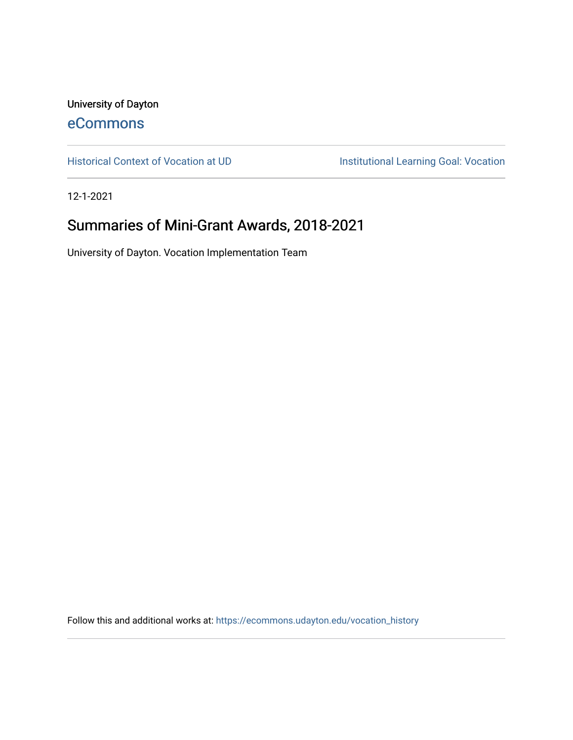University of Dayton [eCommons](https://ecommons.udayton.edu/)

[Historical Context of Vocation at UD](https://ecommons.udayton.edu/vocation_history) **Institutional Learning Goal: Vocation** 

12-1-2021

# Summaries of Mini-Grant Awards, 2018-2021

University of Dayton. Vocation Implementation Team

Follow this and additional works at: [https://ecommons.udayton.edu/vocation\\_history](https://ecommons.udayton.edu/vocation_history?utm_source=ecommons.udayton.edu%2Fvocation_history%2F2&utm_medium=PDF&utm_campaign=PDFCoverPages)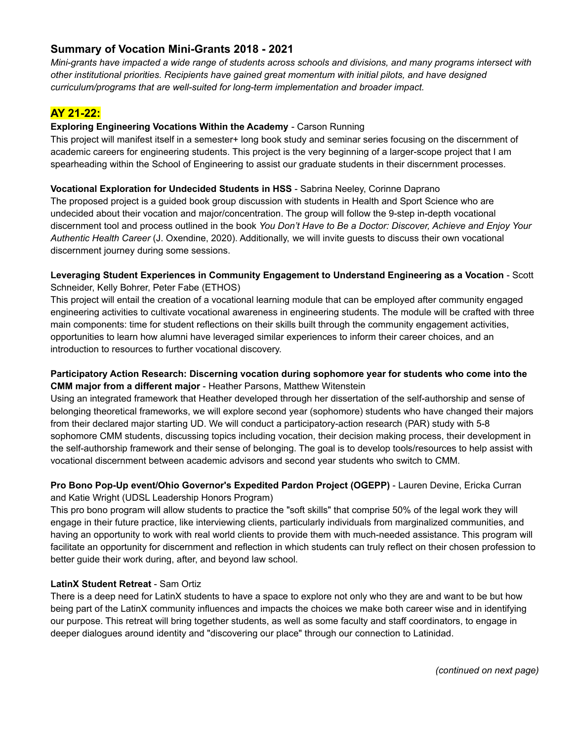# **Summary of Vocation Mini-Grants 2018 - 2021**

Mini-grants have impacted a wide range of students across schools and divisions, and many programs intersect with *other institutional priorities. Recipients have gained great momentum with initial pilots, and have designed curriculum/programs that are well-suited for long-term implementation and broader impact.*

# **AY 21-22:**

## **Exploring Engineering Vocations Within the Academy** - Carson Running

This project will manifest itself in a semester+ long book study and seminar series focusing on the discernment of academic careers for engineering students. This project is the very beginning of a larger-scope project that I am spearheading within the School of Engineering to assist our graduate students in their discernment processes.

## **Vocational Exploration for Undecided Students in HSS** - Sabrina Neeley, Corinne Daprano

The proposed project is a guided book group discussion with students in Health and Sport Science who are undecided about their vocation and major/concentration. The group will follow the 9-step in-depth vocational discernment tool and process outlined in the book *You Don't Have to Be a Doctor: Discover, Achieve and Enjoy Your Authentic Health Career* (J. Oxendine, 2020). Additionally, we will invite guests to discuss their own vocational discernment journey during some sessions.

## **Leveraging Student Experiences in Community Engagement to Understand Engineering as a Vocation** - Scott Schneider, Kelly Bohrer, Peter Fabe (ETHOS)

This project will entail the creation of a vocational learning module that can be employed after community engaged engineering activities to cultivate vocational awareness in engineering students. The module will be crafted with three main components: time for student reflections on their skills built through the community engagement activities, opportunities to learn how alumni have leveraged similar experiences to inform their career choices, and an introduction to resources to further vocational discovery.

## **Participatory Action Research: Discerning vocation during sophomore year for students who come into the CMM major from a different major** - Heather Parsons, Matthew Witenstein

Using an integrated framework that Heather developed through her dissertation of the self-authorship and sense of belonging theoretical frameworks, we will explore second year (sophomore) students who have changed their majors from their declared major starting UD. We will conduct a participatory-action research (PAR) study with 5-8 sophomore CMM students, discussing topics including vocation, their decision making process, their development in the self-authorship framework and their sense of belonging. The goal is to develop tools/resources to help assist with vocational discernment between academic advisors and second year students who switch to CMM.

## **Pro Bono Pop-Up event/Ohio Governor's Expedited Pardon Project (OGEPP)** - Lauren Devine, Ericka Curran and Katie Wright (UDSL Leadership Honors Program)

This pro bono program will allow students to practice the "soft skills" that comprise 50% of the legal work they will engage in their future practice, like interviewing clients, particularly individuals from marginalized communities, and having an opportunity to work with real world clients to provide them with much-needed assistance. This program will facilitate an opportunity for discernment and reflection in which students can truly reflect on their chosen profession to better guide their work during, after, and beyond law school.

## **LatinX Student Retreat** - Sam Ortiz

There is a deep need for LatinX students to have a space to explore not only who they are and want to be but how being part of the LatinX community influences and impacts the choices we make both career wise and in identifying our purpose. This retreat will bring together students, as well as some faculty and staff coordinators, to engage in deeper dialogues around identity and "discovering our place" through our connection to Latinidad.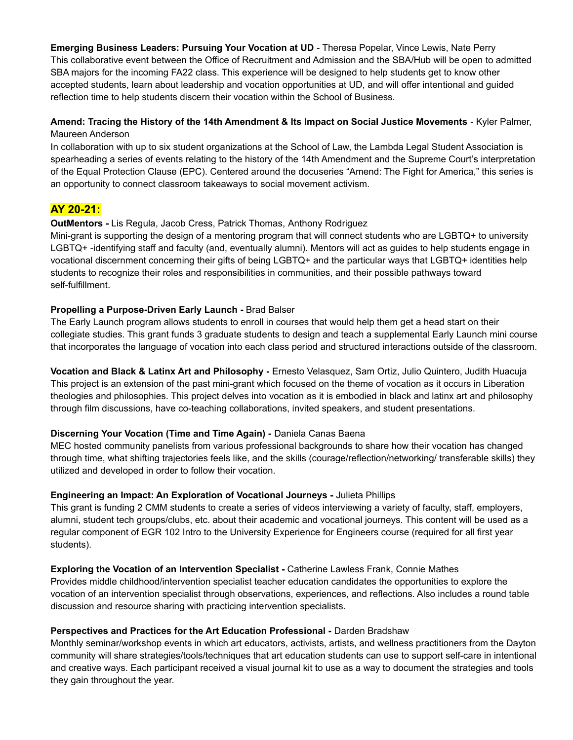**Emerging Business Leaders: Pursuing Your Vocation at UD** - Theresa Popelar, Vince Lewis, Nate Perry This collaborative event between the Office of Recruitment and Admission and the SBA/Hub will be open to admitted SBA majors for the incoming FA22 class. This experience will be designed to help students get to know other accepted students, learn about leadership and vocation opportunities at UD, and will offer intentional and guided reflection time to help students discern their vocation within the School of Business.

## **Amend: Tracing the History of the 14th Amendment & Its Impact on Social Justice Movements** - Kyler Palmer, Maureen Anderson

In collaboration with up to six student organizations at the School of Law, the Lambda Legal Student Association is spearheading a series of events relating to the history of the 14th Amendment and the Supreme Court's interpretation of the Equal Protection Clause (EPC). Centered around the docuseries "Amend: The Fight for America," this series is an opportunity to connect classroom takeaways to social movement activism.

# **AY 20-21:**

## **OutMentors -** Lis Regula, Jacob Cress, Patrick Thomas, Anthony Rodriguez

Mini-grant is supporting the design of a mentoring program that will connect students who are LGBTQ+ to university LGBTQ+ -identifying staff and faculty (and, eventually alumni). Mentors will act as guides to help students engage in vocational discernment concerning their gifts of being LGBTQ+ and the particular ways that LGBTQ+ identities help students to recognize their roles and responsibilities in communities, and their possible pathways toward self-fulfillment.

## **Propelling a Purpose-Driven Early Launch -** Brad Balser

The Early Launch program allows students to enroll in courses that would help them get a head start on their collegiate studies. This grant funds 3 graduate students to design and teach a supplemental Early Launch mini course that incorporates the language of vocation into each class period and structured interactions outside of the classroom.

**Vocation and Black & Latinx Art and Philosophy -** Ernesto Velasquez, Sam Ortiz, Julio Quintero, Judith Huacuja This project is an extension of the past mini-grant which focused on the theme of vocation as it occurs in Liberation theologies and philosophies. This project delves into vocation as it is embodied in black and latinx art and philosophy through film discussions, have co-teaching collaborations, invited speakers, and student presentations.

## **Discerning Your Vocation (Time and Time Again) -** Daniela Canas Baena

MEC hosted community panelists from various professional backgrounds to share how their vocation has changed through time, what shifting trajectories feels like, and the skills (courage/reflection/networking/ transferable skills) they utilized and developed in order to follow their vocation.

## **Engineering an Impact: An Exploration of Vocational Journeys -** Julieta Phillips

This grant is funding 2 CMM students to create a series of videos interviewing a variety of faculty, staff, employers, alumni, student tech groups/clubs, etc. about their academic and vocational journeys. This content will be used as a regular component of EGR 102 Intro to the University Experience for Engineers course (required for all first year students).

## **Exploring the Vocation of an Intervention Specialist -** Catherine Lawless Frank, Connie Mathes

Provides middle childhood/intervention specialist teacher education candidates the opportunities to explore the vocation of an intervention specialist through observations, experiences, and reflections. Also includes a round table discussion and resource sharing with practicing intervention specialists.

## **Perspectives and Practices for the Art Education Professional -** Darden Bradshaw

Monthly seminar/workshop events in which art educators, activists, artists, and wellness practitioners from the Dayton community will share strategies/tools/techniques that art education students can use to support self-care in intentional and creative ways. Each participant received a visual journal kit to use as a way to document the strategies and tools they gain throughout the year.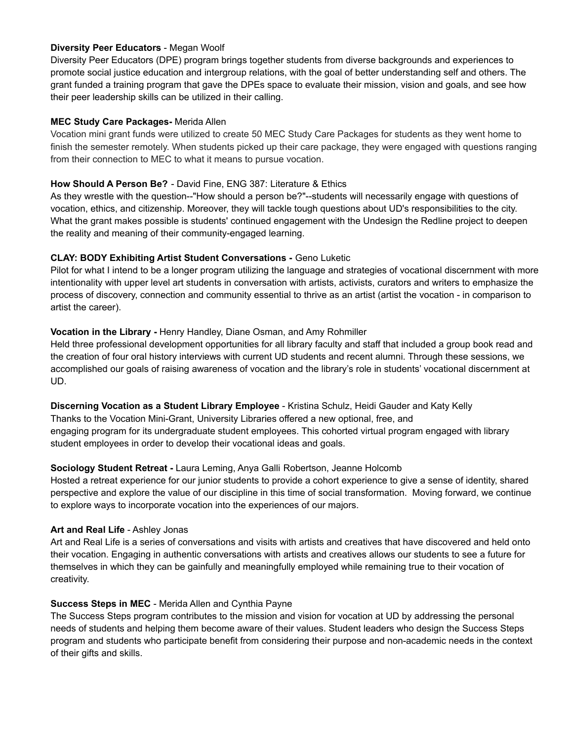## **Diversity Peer Educators** - Megan Woolf

Diversity Peer Educators (DPE) program brings together students from diverse backgrounds and experiences to promote social justice education and intergroup relations, with the goal of better understanding self and others. The grant funded a training program that gave the DPEs space to evaluate their mission, vision and goals, and see how their peer leadership skills can be utilized in their calling.

## **MEC Study Care Packages-** Merida Allen

Vocation mini grant funds were utilized to create 50 MEC Study Care Packages for students as they went home to finish the semester remotely. When students picked up their care package, they were engaged with questions ranging from their connection to MEC to what it means to pursue vocation.

## **How Should A Person Be?** - David Fine, ENG 387: Literature & Ethics

As they wrestle with the question--"How should a person be?"--students will necessarily engage with questions of vocation, ethics, and citizenship. Moreover, they will tackle tough questions about UD's responsibilities to the city. What the grant makes possible is students' continued engagement with the Undesign the Redline project to deepen the reality and meaning of their community-engaged learning.

## **CLAY: BODY Exhibiting Artist Student Conversations -** Geno Luketic

Pilot for what I intend to be a longer program utilizing the language and strategies of vocational discernment with more intentionality with upper level art students in conversation with artists, activists, curators and writers to emphasize the process of discovery, connection and community essential to thrive as an artist (artist the vocation - in comparison to artist the career).

## **Vocation in the Library -** Henry Handley, Diane Osman, and Amy Rohmiller

Held three professional development opportunities for all library faculty and staff that included a group book read and the creation of four oral history interviews with current UD students and recent alumni. Through these sessions, we accomplished our goals of raising awareness of vocation and the library's role in students' vocational discernment at UD.

## **Discerning Vocation as a Student Library Employee** - Kristina Schulz, Heidi Gauder and Katy Kelly

Thanks to the Vocation Mini-Grant, University Libraries offered a new optional, free, and engaging program for its undergraduate student employees. This cohorted virtual program engaged with library student employees in order to develop their vocational ideas and goals.

## **Sociology Student Retreat -** Laura Leming, Anya Galli Robertson, Jeanne Holcomb

Hosted a retreat experience for our junior students to provide a cohort experience to give a sense of identity, shared perspective and explore the value of our discipline in this time of social transformation. Moving forward, we continue to explore ways to incorporate vocation into the experiences of our majors.

## **Art and Real Life** - Ashley Jonas

Art and Real Life is a series of conversations and visits with artists and creatives that have discovered and held onto their vocation. Engaging in authentic conversations with artists and creatives allows our students to see a future for themselves in which they can be gainfully and meaningfully employed while remaining true to their vocation of creativity.

## **Success Steps in MEC** - Merida Allen and Cynthia Payne

The Success Steps program contributes to the mission and vision for vocation at UD by addressing the personal needs of students and helping them become aware of their values. Student leaders who design the Success Steps program and students who participate benefit from considering their purpose and non-academic needs in the context of their gifts and skills.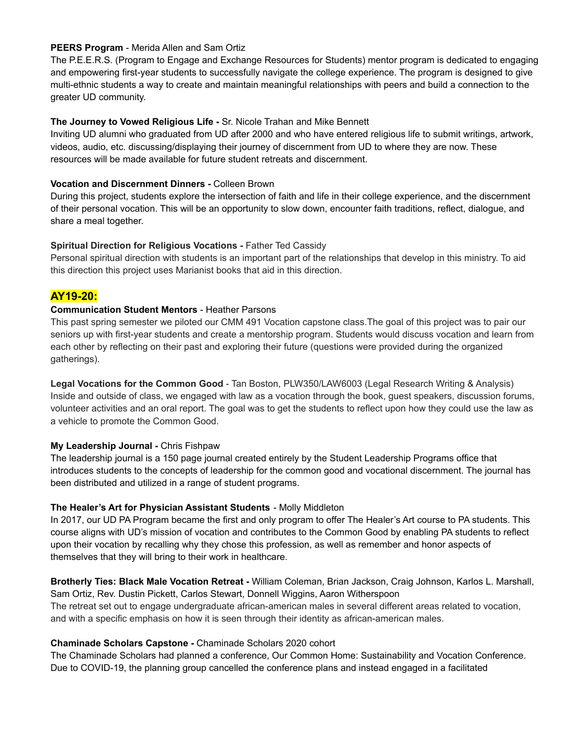## **PEERS Program** - Merida Allen and Sam Ortiz

The P.E.E.R.S. (Program to Engage and Exchange Resources for Students) mentor program is dedicated to engaging and empowering first-year students to successfully navigate the college experience. The program is designed to give multi-ethnic students a way to create and maintain meaningful relationships with peers and build a connection to the greater UD community.

## **The Journey to Vowed Religious Life -** Sr. Nicole Trahan and Mike Bennett

Inviting UD alumni who graduated from UD after 2000 and who have entered religious life to submit writings, artwork, videos, audio, etc. discussing/displaying their journey of discernment from UD to where they are now. These resources will be made available for future student retreats and discernment.

## **Vocation and Discernment Dinners -** Colleen Brown

During this project, students explore the intersection of faith and life in their college experience, and the discernment of their personal vocation. This will be an opportunity to slow down, encounter faith traditions, reflect, dialogue, and share a meal together.

#### **Spiritual Direction for Religious Vocations -** Father Ted Cassidy

Personal spiritual direction with students is an important part of the relationships that develop in this ministry. To aid this direction this project uses Marianist books that aid in this direction.

## **AY19-20:**

#### **Communication Student Mentors** - Heather Parsons

This past spring semester we piloted our CMM 491 Vocation capstone class.The goal of this project was to pair our seniors up with first-year students and create a mentorship program. Students would discuss vocation and learn from each other by reflecting on their past and exploring their future (questions were provided during the organized gatherings).

**Legal Vocations for the Common Good** - Tan Boston, PLW350/LAW6003 (Legal Research Writing & Analysis) Inside and outside of class, we engaged with law as a vocation through the book, guest speakers, discussion forums, volunteer activities and an oral report. The goal was to get the students to reflect upon how they could use the law as a vehicle to promote the Common Good.

## **My Leadership Journal -** Chris Fishpaw

The leadership journal is a 150 page journal created entirely by the Student Leadership Programs office that introduces students to the concepts of leadership for the common good and vocational discernment. The journal has been distributed and utilized in a range of student programs.

## **The Healer's Art for Physician Assistant Students** - Molly Middleton

In 2017, our UD PA Program became the first and only program to offer The Healer's Art course to PA students. This course aligns with UD's mission of vocation and contributes to the Common Good by enabling PA students to reflect upon their vocation by recalling why they chose this profession, as well as remember and honor aspects of themselves that they will bring to their work in healthcare.

**Brotherly Ties: Black Male Vocation Retreat -** William Coleman, Brian Jackson, Craig Johnson, Karlos L. Marshall, Sam Ortiz, Rev. Dustin Pickett, Carlos Stewart, Donnell Wiggins, Aaron Witherspoon The retreat set out to engage undergraduate african-american males in several different areas related to vocation, and with a specific emphasis on how it is seen through their identity as african-american males.

#### **Chaminade Scholars Capstone -** Chaminade Scholars 2020 cohort

The Chaminade Scholars had planned a conference, Our Common Home: Sustainability and Vocation Conference. Due to COVID-19, the planning group cancelled the conference plans and instead engaged in a facilitated